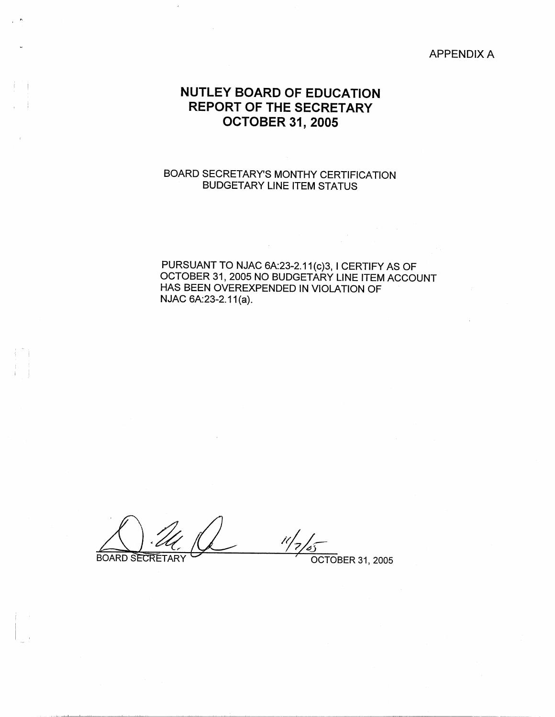#### APPENDIX A

# **NUTLEY BOARD OF EDUCATION REPORT OF THE SECRETARY OCTOBER 31, 2005**

 $\Box$ 

I j

## BOARD SECRETARY'S MONTHY CERTIFICATION BUDGETARY LINE ITEM STATUS

### PURSUANT TO NJAC 6A:23-2.11(c)3, I CERTIFY AS OF OCTOBER 31, 2005 NO BUDGETARY LINE ITEM ACCOUNT HAS BEEN OVEREXPENDED IN VIOLATION OF NJAC 6A:23-2.11(a).

 $11/7/55$ **BOARD SECRETARY** 

' OCTOBER 31, 2005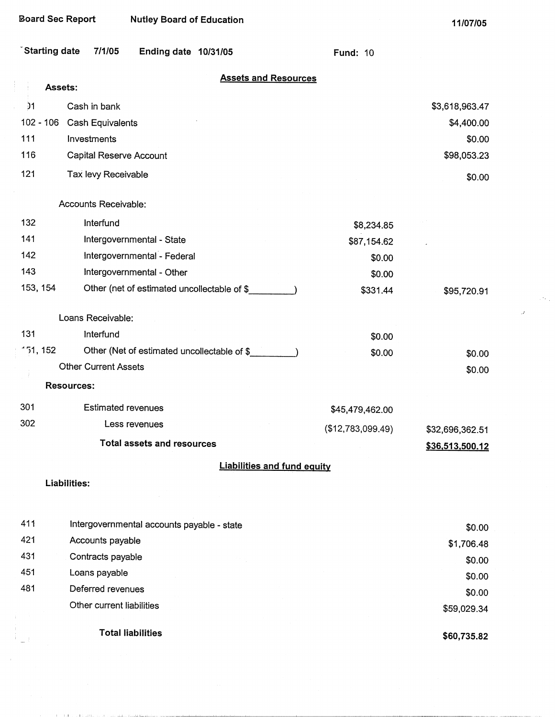and the contract of the state of the state of the contract of the state of the state of the state of the state of the state of the state of the state of the state of the state of the state of the state of the state of the

11/07/05

 $\sim 2\, \rm{Gyr}$ 

 $\mathcal{A}$ 

|  | <b>`Starting date</b> | 7/1/05 | Ending date $10/31/05$ |  |  |
|--|-----------------------|--------|------------------------|--|--|
|--|-----------------------|--------|------------------------|--|--|

| <b>Assets and Resources</b> |  |  |  |  |
|-----------------------------|--|--|--|--|
|                             |  |  |  |  |

Fund: 10

|                 | Assets:           | <u>199619 AND INCOUNCES</u>                 |                   |                 |
|-----------------|-------------------|---------------------------------------------|-------------------|-----------------|
| $\overline{)1}$ |                   | Cash in bank                                |                   | \$3,618,963.47  |
|                 | $102 - 106$       | Cash Equivalents                            |                   | \$4,400.00      |
| 111             |                   | Investments                                 |                   | \$0.00          |
| 116             |                   | Capital Reserve Account                     |                   | \$98,053.23     |
| 121             |                   | Tax levy Receivable                         |                   | \$0.00          |
|                 |                   | Accounts Receivable:                        |                   |                 |
| 132             |                   | Interfund                                   | \$8,234.85        |                 |
| 141             |                   | Intergovernmental - State                   | \$87,154.62       |                 |
| 142             |                   | Intergovernmental - Federal                 | \$0.00            |                 |
| 143             |                   | Intergovernmental - Other                   | \$0.00            |                 |
|                 | 153, 154          | Other (net of estimated uncollectable of \$ | \$331.44          | \$95,720.91     |
|                 |                   | Loans Receivable:                           |                   |                 |
| 131             |                   | Interfund                                   | \$0.00            |                 |
|                 | 151, 152          | Other (Net of estimated uncollectable of \$ | \$0.00            | \$0.00          |
|                 |                   | <b>Other Current Assets</b>                 |                   | \$0.00          |
|                 | <b>Resources:</b> |                                             |                   |                 |
| 301             |                   | <b>Estimated revenues</b>                   | \$45,479,462.00   |                 |
| 302             |                   | Less revenues                               | (\$12,783,099.49) | \$32,696,362.51 |
|                 |                   | <b>Total assets and resources</b>           |                   | \$36,513,500.12 |
|                 |                   | <b>Liabilities and fund equity</b>          |                   |                 |
|                 | Liabilities:      |                                             |                   |                 |
|                 |                   |                                             |                   |                 |
| 411             |                   | Intergovernmental accounts payable - state  |                   | \$0.00          |
| 421             |                   | Accounts payable                            |                   | \$1,706.48      |
| 431             |                   | Contracts payable                           |                   | \$0.00          |
| 451             |                   | Loans payable                               |                   | \$0.00          |
| 481             |                   | Deferred revenues                           |                   | \$0.00          |
|                 |                   | Other current liabilities                   |                   | \$59,029.34     |
|                 |                   | <b>Total liabilities</b>                    |                   | \$60,735.82     |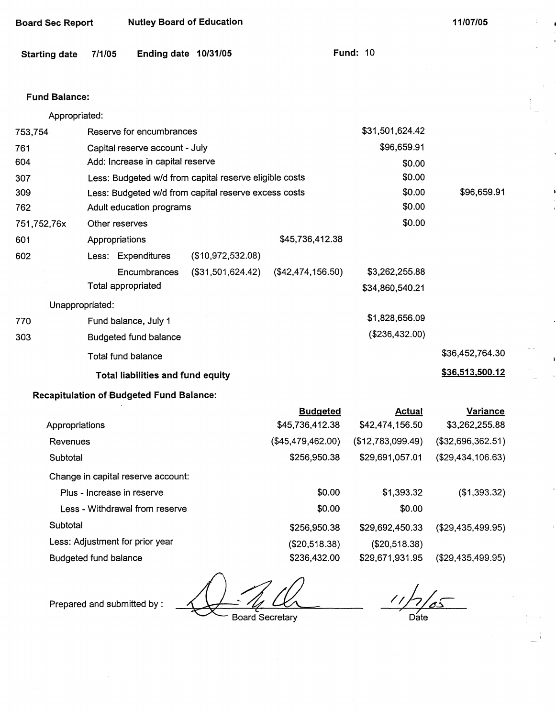| <b>Starting date</b> | 7/1/05                          | Ending date 10/31/05                            |                                                        |                   | <b>Fund: 10</b>                       |                   |
|----------------------|---------------------------------|-------------------------------------------------|--------------------------------------------------------|-------------------|---------------------------------------|-------------------|
| <b>Fund Balance:</b> |                                 |                                                 |                                                        |                   |                                       |                   |
| Appropriated:        |                                 |                                                 |                                                        |                   |                                       |                   |
| 753,754              |                                 | Reserve for encumbrances                        |                                                        |                   | \$31,501,624.42                       |                   |
| 761                  |                                 | Capital reserve account - July                  |                                                        |                   | \$96,659.91                           |                   |
| 604                  |                                 | Add: Increase in capital reserve                |                                                        |                   | \$0.00                                |                   |
| 307                  |                                 |                                                 | Less: Budgeted w/d from capital reserve eligible costs |                   | \$0.00                                |                   |
| 309                  |                                 |                                                 | Less: Budgeted w/d from capital reserve excess costs   |                   | \$0.00                                | \$96,659.91       |
| 762                  |                                 | Adult education programs                        |                                                        |                   | \$0.00                                |                   |
| 751,752,76x          | Other reserves                  |                                                 |                                                        |                   | \$0.00                                |                   |
| 601                  | Appropriations                  |                                                 |                                                        | \$45,736,412.38   |                                       |                   |
| 602                  |                                 | Less: Expenditures                              | (\$10,972,532.08)                                      |                   |                                       |                   |
|                      |                                 | Encumbrances                                    | (\$31,501,624.42)                                      | (\$42,474,156.50) | \$3,262,255.88                        |                   |
|                      | <b>Total appropriated</b>       |                                                 |                                                        |                   | \$34,860,540.21                       |                   |
|                      | Unappropriated:                 |                                                 |                                                        |                   |                                       |                   |
| 770                  |                                 | Fund balance, July 1                            |                                                        |                   | \$1,828,656.09                        |                   |
| 303                  |                                 | <b>Budgeted fund balance</b>                    |                                                        |                   | (\$236,432.00)                        |                   |
|                      | Total fund balance              |                                                 |                                                        |                   |                                       | \$36,452,764.30   |
|                      |                                 | Total liabilities and fund equity               |                                                        |                   |                                       | \$36,513,500.12   |
|                      |                                 | <b>Recapitulation of Budgeted Fund Balance:</b> |                                                        |                   |                                       |                   |
|                      |                                 |                                                 |                                                        | <b>Budgeted</b>   | <b>Actual</b>                         | <b>Variance</b>   |
| Appropriations       |                                 |                                                 |                                                        | \$45,736,412.38   | \$42,474,156.50                       | \$3,262,255.88    |
| Revenues             |                                 |                                                 |                                                        |                   | $($45,479,462.00)$ $($12,783,099.49)$ | (\$32,696,362.51) |
| Subtotal             |                                 |                                                 |                                                        | \$256,950.38      | \$29,691,057.01                       | (\$29,434,106.63) |
|                      |                                 | Change in capital reserve account:              |                                                        |                   |                                       |                   |
|                      | Plus - Increase in reserve      |                                                 |                                                        | \$0.00            | \$1,393.32                            | (\$1,393.32)      |
|                      |                                 | Less - Withdrawal from reserve                  |                                                        | \$0.00            | \$0.00                                |                   |
| Subtotal             |                                 |                                                 |                                                        | \$256,950.38      | \$29,692,450.33                       | (\$29,435,499.95) |
|                      | Less: Adjustment for prior year |                                                 |                                                        | (\$20,518.38)     | (\$20,518.38)                         |                   |
|                      | <b>Budgeted fund balance</b>    |                                                 |                                                        | \$236,432.00      | \$29,671,931.95                       | (\$29,435,499.95) |

**Board Sec Report 11/07/05 Nutley Board of Education** 11/07/05

Prepared and submitted by:

Board Secretary

 $\frac{1}{\sqrt{7}}$ /05 Date

ć.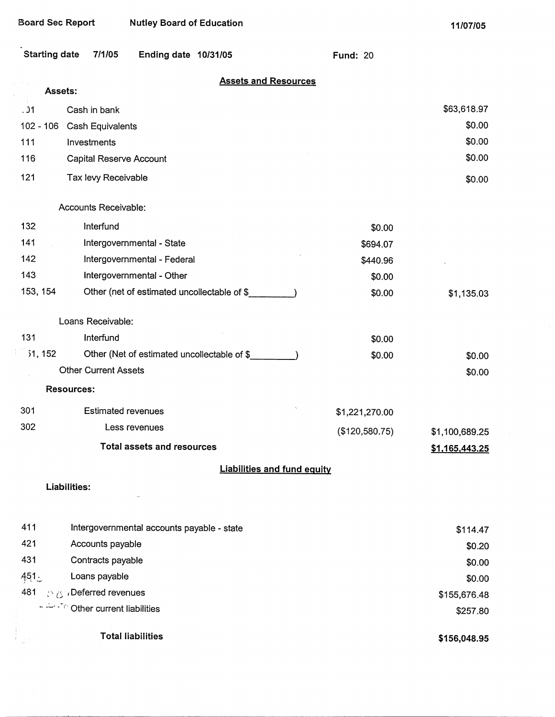| Starting date 7/1/05 | Ending date 10/31/05 | <b>Fund: 20</b> |  |
|----------------------|----------------------|-----------------|--|

| <b>Assets and Resources</b> |  |  |
|-----------------------------|--|--|
|                             |  |  |

|          | Assets: | <b>Assets and Resources</b>                 |                |                |
|----------|---------|---------------------------------------------|----------------|----------------|
| .91      |         | Cash in bank                                |                | \$63,618.97    |
|          |         | 102 - 106 Cash Equivalents                  |                | \$0.00         |
| 111      |         | Investments                                 |                | \$0.00         |
| 116      |         | Capital Reserve Account                     |                | \$0.00         |
| 121      |         | Tax levy Receivable                         |                | \$0.00         |
|          |         | Accounts Receivable:                        |                |                |
| 132      |         | Interfund                                   | \$0.00         |                |
| 141      |         | Intergovernmental - State                   | \$694.07       |                |
| 142      |         | Intergovernmental - Federal                 | \$440.96       |                |
| 143      |         | Intergovernmental - Other                   | \$0.00         |                |
| 153, 154 |         | Other (net of estimated uncollectable of \$ | \$0.00         | \$1,135.03     |
|          |         | Loans Receivable:                           |                |                |
| 131      |         | Interfund                                   | \$0.00         |                |
| 31,152   |         | Other (Net of estimated uncollectable of \$ | \$0.00         | \$0.00         |
|          |         | <b>Other Current Assets</b>                 |                | \$0.00         |
|          |         | <b>Resources:</b>                           |                |                |
| 301      |         | <b>Estimated revenues</b>                   | \$1,221,270.00 |                |
| 302      |         | Less revenues                               | (\$120,580.75) | \$1,100,689.25 |
|          |         | <b>Total assets and resources</b>           |                | \$1,165,443.25 |
|          |         | <b>Liabilities and fund equity</b>          |                |                |
|          |         | <b>Liabilities:</b>                         |                |                |
|          |         |                                             |                |                |
| 411      |         | Intergovernmental accounts payable - state  |                | \$114.47       |
| 421      |         | Accounts payable                            |                | \$0.20         |
| 431      |         | Contracts payable                           |                | \$0.00         |
| 451.     |         | Loans payable                               |                | \$0.00         |
| 481      |         | <b><i>A</i></b> <i>i</i> Deferred revenues  |                | \$155,676.48   |
|          |         | Service Other current liabilities           |                | \$257.80       |
|          |         | <b>Total liabilities</b>                    |                | \$156,048.95   |

**\$156,048.95**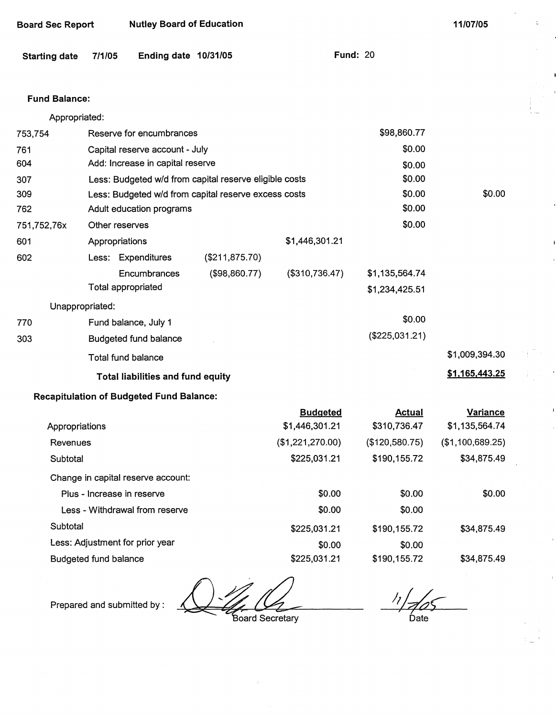| <b>Board Sec Report</b> |                              | <b>Nutley Board of Education</b>                |                                                        |                  |                                  | 11/07/05         |
|-------------------------|------------------------------|-------------------------------------------------|--------------------------------------------------------|------------------|----------------------------------|------------------|
| <b>Starting date</b>    | 7/1/05                       | Ending date 10/31/05                            |                                                        |                  | <b>Fund: 20</b>                  |                  |
| <b>Fund Balance:</b>    |                              |                                                 |                                                        |                  |                                  |                  |
| Appropriated:           |                              |                                                 |                                                        |                  |                                  |                  |
| 753,754                 |                              | Reserve for encumbrances                        |                                                        |                  | \$98,860.77                      |                  |
| 761                     |                              | Capital reserve account - July                  |                                                        |                  | \$0.00                           |                  |
| 604                     |                              | Add: Increase in capital reserve                |                                                        |                  | \$0.00                           |                  |
| 307                     |                              |                                                 | Less: Budgeted w/d from capital reserve eligible costs |                  | \$0.00                           |                  |
| 309                     |                              |                                                 | Less: Budgeted w/d from capital reserve excess costs   |                  | \$0.00                           | \$0.00           |
| 762                     |                              | Adult education programs                        |                                                        |                  | \$0.00                           |                  |
| 751,752,76x             | Other reserves               |                                                 |                                                        |                  | \$0.00                           |                  |
| 601                     | Appropriations               |                                                 |                                                        | \$1,446,301.21   |                                  |                  |
| 602                     |                              | Less: Expenditures                              | (\$211, 875.70)                                        |                  |                                  |                  |
|                         |                              | Encumbrances<br><b>Total appropriated</b>       | (\$98,860.77)                                          | (\$310,736.47)   | \$1,135,564.74<br>\$1,234,425.51 |                  |
|                         | Unappropriated:              |                                                 |                                                        |                  |                                  |                  |
| 770                     |                              | Fund balance, July 1                            |                                                        |                  | \$0.00                           |                  |
| 303                     |                              | <b>Budgeted fund balance</b>                    |                                                        |                  | (\$225,031.21)                   |                  |
|                         |                              | Total fund balance                              |                                                        |                  |                                  | \$1,009,394.30   |
|                         |                              | Total liabilities and fund equity               |                                                        |                  |                                  | \$1,165,443.25   |
|                         |                              | <b>Recapitulation of Budgeted Fund Balance:</b> |                                                        |                  |                                  |                  |
|                         |                              |                                                 |                                                        | <b>Budgeted</b>  | <b>Actual</b>                    | <b>Variance</b>  |
| Appropriations          |                              |                                                 |                                                        | \$1,446,301.21   | \$310,736.47                     | \$1,135,564.74   |
| Revenues                |                              |                                                 |                                                        | (\$1,221,270.00) | (\$120,580.75)                   | (\$1,100,689.25) |
| Subtotal                |                              |                                                 |                                                        | \$225,031.21     | \$190,155.72                     | \$34,875.49      |
|                         |                              | Change in capital reserve account:              |                                                        |                  |                                  |                  |
|                         |                              | Plus - Increase in reserve                      |                                                        | \$0.00           | \$0.00                           | \$0.00           |
|                         |                              | Less - Withdrawal from reserve                  |                                                        | \$0.00           | \$0.00                           |                  |
| Subtotal                |                              |                                                 |                                                        | \$225,031.21     | \$190,155.72                     | \$34,875.49      |
|                         |                              | Less: Adjustment for prior year                 |                                                        | \$0.00           | \$0.00                           |                  |
|                         | <b>Budgeted fund balance</b> |                                                 |                                                        | \$225,031.21     | \$190,155.72                     | \$34,875.49      |

Prepared and submitted by :

Board Secretary

 $\frac{1}{2}$ 

 $\mathbb{Z}$ 

 $\int$ Date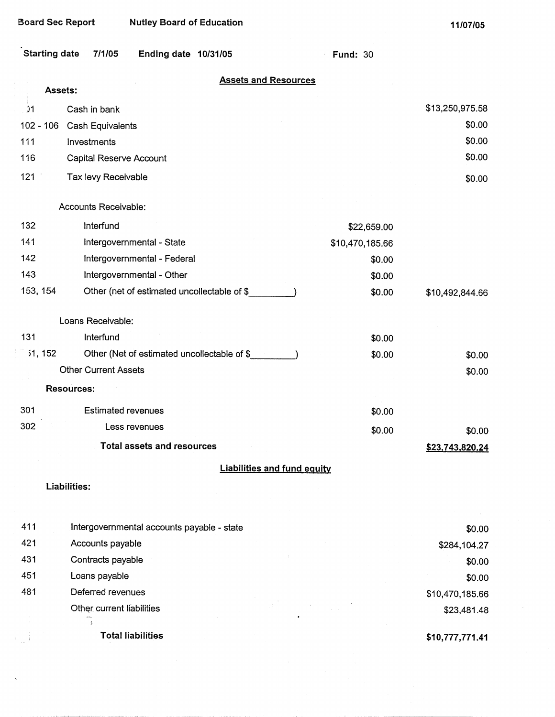| Starting date 7/1/05 | Ending date 10/31/05 |  |
|----------------------|----------------------|--|

· **Fund:** 30

| <b>Assets and Resources</b> |  |  |
|-----------------------------|--|--|
|                             |  |  |

|                | <u>ASSEIS and Resources</u><br>Assets:      |                                    |                 |
|----------------|---------------------------------------------|------------------------------------|-----------------|
| . 91           | Cash in bank                                |                                    | \$13,250,975.58 |
| $102 - 106$    | Cash Equivalents                            |                                    | \$0.00          |
| 111            | Investments                                 |                                    | \$0.00          |
| 116            | Capital Reserve Account                     |                                    | \$0.00          |
| 121            | Tax levy Receivable                         |                                    | \$0.00          |
|                | Accounts Receivable:                        |                                    |                 |
| 132            | Interfund                                   | \$22,659.00                        |                 |
| 141            | Intergovernmental - State                   | \$10,470,185.66                    |                 |
| 142            | Intergovernmental - Federal                 | \$0.00                             |                 |
| 143            | Intergovernmental - Other                   | \$0.00                             |                 |
| 153, 154       | Other (net of estimated uncollectable of \$ | \$0.00                             | \$10,492,844.66 |
|                | Loans Receivable:                           |                                    |                 |
| 131            | Interfund                                   | \$0.00                             |                 |
| <b>i1, 152</b> | Other (Net of estimated uncollectable of \$ | \$0.00                             | \$0.00          |
|                | <b>Other Current Assets</b>                 |                                    | \$0.00          |
|                | <b>Resources:</b>                           |                                    |                 |
| 301            | <b>Estimated revenues</b>                   | \$0.00                             |                 |
| 302            | Less revenues                               | \$0.00                             | \$0.00          |
|                | <b>Total assets and resources</b>           |                                    | \$23,743,820.24 |
|                |                                             | <b>Liabilities and fund equity</b> |                 |
|                | Liabilities:                                |                                    |                 |
|                |                                             |                                    |                 |
| 411            | Intergovernmental accounts payable - state  |                                    | \$0.00          |
| 421            | Accounts payable                            |                                    | \$284,104.27    |
| 431            | Contracts payable                           |                                    | \$0.00          |
| 451            | Loans payable                               |                                    | \$0.00          |
| 481            | Deferred revenues                           |                                    | \$10,470,185.66 |

Other current liabilities  $\frac{1}{\sqrt{2}}$ 

**Total liabilities** 

 $\tilde{k} = -\tilde{k}$ 

 $\mathbb{E}[\omega]$  ).

l,

**\$10,777,771.41** 

\$23,481.48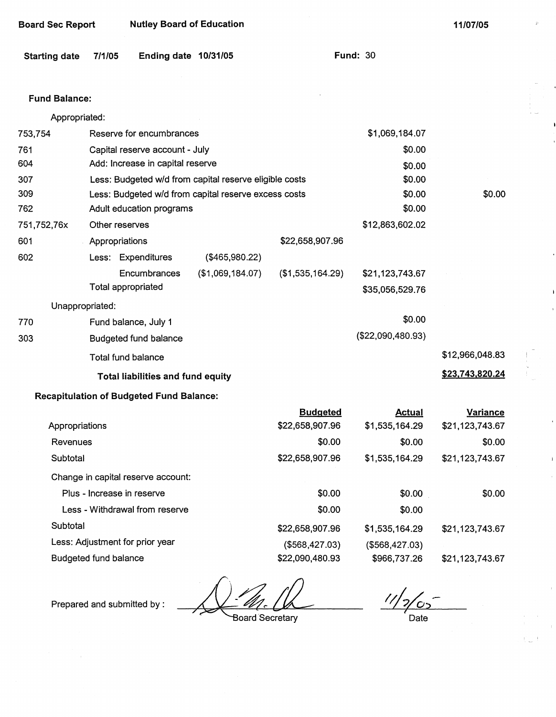| <b>Board Sec Report</b> | <b>Nutley Board of Education</b> |
|-------------------------|----------------------------------|
|-------------------------|----------------------------------|

**11/07/05** 

**\$23. 743,820.24** 

| Starting date 7/1/05 |  | Ending date 10/31/05 |  | <b>Fund: 30</b> |  |
|----------------------|--|----------------------|--|-----------------|--|
|----------------------|--|----------------------|--|-----------------|--|

#### **Fund Balance:**

| Appropriated: |                 |                                  |                                                        |                  |                 |                 |
|---------------|-----------------|----------------------------------|--------------------------------------------------------|------------------|-----------------|-----------------|
| 753,754       |                 | Reserve for encumbrances         |                                                        | \$1,069,184.07   |                 |                 |
| 761           |                 | Capital reserve account - July   |                                                        |                  | \$0.00          |                 |
| 604           |                 | Add: Increase in capital reserve |                                                        |                  | \$0.00          |                 |
| 307           |                 |                                  | Less: Budgeted w/d from capital reserve eligible costs |                  | \$0.00          |                 |
| 309           |                 |                                  | Less: Budgeted w/d from capital reserve excess costs   |                  | \$0.00          | \$0.00          |
| 762           |                 | Adult education programs         | \$0.00                                                 |                  |                 |                 |
| 751,752,76x   |                 | Other reserves                   |                                                        | \$12,863,602.02  |                 |                 |
| 601           |                 | Appropriations                   |                                                        | \$22,658,907.96  |                 |                 |
| 602           |                 | Less: Expenditures               | (\$465,980.22)                                         |                  |                 |                 |
|               |                 | Encumbrances                     | (\$1,069,184.07)                                       | (\$1,535,164.29) | \$21,123,743.67 |                 |
|               |                 | Total appropriated               | \$35,056,529.76                                        |                  |                 |                 |
|               | Unappropriated: |                                  |                                                        |                  |                 |                 |
| 770           |                 | Fund balance, July 1             |                                                        |                  | \$0.00          |                 |
| 303           |                 | Budgeted fund balance            | (\$22,090,480.93)                                      |                  |                 |                 |
|               |                 | Total fund balance               |                                                        |                  |                 | \$12,966,048.83 |

Total fund balance

### **Total liabilities and fund equity**

### **Recapitulation of Budgeted Fund Balance:**

|                                    | <b>Budgeted</b> | Actual         | <b>Variance</b> |
|------------------------------------|-----------------|----------------|-----------------|
| Appropriations                     | \$22,658,907.96 | \$1,535,164.29 | \$21,123,743.67 |
| Revenues                           | \$0.00          | \$0.00         | \$0.00          |
| Subtotal                           | \$22,658,907.96 | \$1,535,164.29 | \$21,123,743.67 |
| Change in capital reserve account: |                 |                |                 |
| Plus - Increase in reserve         | \$0.00          | \$0.00         | \$0.00          |
| Less - Withdrawal from reserve     | \$0.00          | \$0.00         |                 |
| Subtotal                           | \$22,658,907.96 | \$1,535,164.29 | \$21,123,743.67 |
| Less: Adjustment for prior year    | (\$568,427.03)  | (\$568,427.03) |                 |
| <b>Budgeted fund balance</b>       | \$22,090,480.93 | \$966,737.26   | \$21,123,743.67 |

Prepared and submitted by :

Board Secretary

 $/$ رح  $\epsilon$ 

Date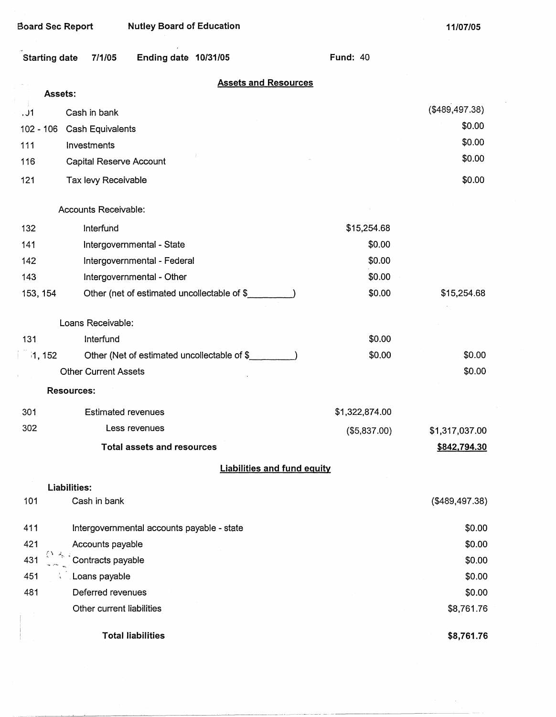**11/07/05** 

| <b>Starting date</b> | Ending date 10/31/05<br>7/1/05              |                                    | <b>Fund: 40</b> |                |
|----------------------|---------------------------------------------|------------------------------------|-----------------|----------------|
| <b>Assets:</b>       |                                             | <b>Assets and Resources</b>        |                 |                |
|                      |                                             |                                    |                 | (\$489,497.38) |
| 01.<br>102 - 106     | Cash in bank                                |                                    |                 | \$0.00         |
| 111                  | <b>Cash Equivalents</b><br>Investments      |                                    |                 | \$0.00         |
| 116                  | Capital Reserve Account                     |                                    |                 | \$0.00         |
| 121                  | Tax levy Receivable                         |                                    |                 | \$0.00         |
|                      |                                             |                                    |                 |                |
|                      | Accounts Receivable:                        |                                    |                 |                |
| 132                  | Interfund                                   |                                    | \$15,254.68     |                |
| 141                  | Intergovernmental - State                   |                                    | \$0.00          |                |
| 142                  | Intergovernmental - Federal                 |                                    | \$0.00          |                |
| 143                  | Intergovernmental - Other                   |                                    | \$0.00          |                |
| 153, 154             | Other (net of estimated uncollectable of \$ |                                    | \$0.00          | \$15,254.68    |
|                      | Loans Receivable:                           |                                    |                 |                |
| 131                  | Interfund                                   |                                    | \$0.00          |                |
| 1, 152               | Other (Net of estimated uncollectable of \$ |                                    | \$0.00          | \$0.00         |
|                      | <b>Other Current Assets</b>                 |                                    |                 | \$0.00         |
|                      | <b>Resources:</b>                           |                                    |                 |                |
| 301                  | <b>Estimated revenues</b>                   |                                    | \$1,322,874.00  |                |
| 302                  | Less revenues                               |                                    | (\$5,837.00)    | \$1,317,037.00 |
|                      | <b>Total assets and resources</b>           |                                    |                 | \$842,794.30   |
|                      |                                             | <b>Liabilities and fund equity</b> |                 |                |
|                      | <b>Liabilities:</b>                         |                                    |                 |                |
| 101                  | Cash in bank                                |                                    |                 | (\$489,497.38) |
| 411                  | Intergovernmental accounts payable - state  |                                    |                 | \$0.00         |
| 421                  | Accounts payable                            |                                    |                 | \$0.00         |
| 431                  | Contracts payable                           |                                    |                 | \$0.00         |
| 451                  | Loans payable                               |                                    |                 | \$0.00         |
| 481                  | Deferred revenues                           |                                    |                 | \$0.00         |
|                      | Other current liabilities                   |                                    |                 | \$8,761.76     |
|                      | <b>Total liabilities</b>                    |                                    |                 | \$8,761.76     |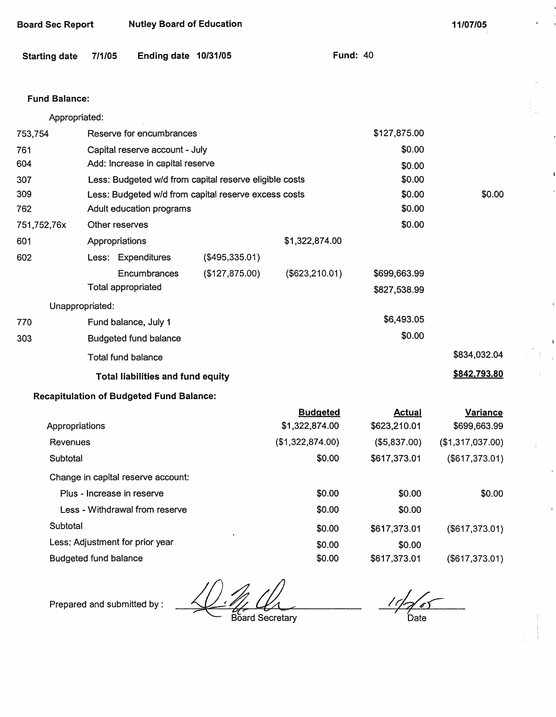| <b>Starting date</b> | 7/1/05                       | Ending date 10/31/05                            |                                                        |                  | <b>Fund: 40</b> |                  |
|----------------------|------------------------------|-------------------------------------------------|--------------------------------------------------------|------------------|-----------------|------------------|
| <b>Fund Balance:</b> |                              |                                                 |                                                        |                  |                 |                  |
| Appropriated:        |                              |                                                 |                                                        |                  |                 |                  |
| 753,754              |                              | Reserve for encumbrances                        |                                                        |                  | \$127,875.00    |                  |
| 761                  |                              | Capital reserve account - July                  |                                                        |                  | \$0.00          |                  |
| 604                  |                              | Add: Increase in capital reserve                |                                                        |                  | \$0.00          |                  |
| 307                  |                              |                                                 | Less: Budgeted w/d from capital reserve eligible costs |                  | \$0.00          |                  |
| 309                  |                              |                                                 | Less: Budgeted w/d from capital reserve excess costs   |                  | \$0.00          | \$0.00           |
| 762                  |                              | Adult education programs                        |                                                        |                  | \$0.00          |                  |
| 751,752,76x          | Other reserves               |                                                 |                                                        |                  | \$0.00          |                  |
| 601                  | Appropriations               |                                                 |                                                        | \$1,322,874.00   |                 |                  |
| 602                  |                              | Less: Expenditures                              | (\$495,335.01)                                         |                  |                 |                  |
|                      |                              | Encumbrances                                    | (\$127,875.00)                                         | (\$623, 210.01)  | \$699,663.99    |                  |
|                      | Total appropriated           |                                                 |                                                        |                  | \$827,538.99    |                  |
|                      | Unappropriated:              |                                                 |                                                        |                  |                 |                  |
| 770                  |                              | Fund balance, July 1                            |                                                        |                  | \$6,493.05      |                  |
| 303                  |                              | <b>Budgeted fund balance</b>                    |                                                        |                  | \$0.00          |                  |
|                      | <b>Total fund balance</b>    |                                                 |                                                        |                  |                 | \$834,032.04     |
|                      |                              | <b>Total liabilities and fund equity</b>        |                                                        |                  |                 | \$842,793.80     |
|                      |                              | <b>Recapitulation of Budgeted Fund Balance:</b> |                                                        |                  |                 |                  |
|                      |                              |                                                 |                                                        | <b>Budgeted</b>  | <b>Actual</b>   | <b>Variance</b>  |
| Appropriations       |                              |                                                 |                                                        | \$1,322,874.00   | \$623,210.01    | \$699,663.99     |
| Revenues             |                              |                                                 |                                                        | (\$1,322,874.00) | (\$5,837.00)    | (\$1,317,037.00) |
| Subtotal             |                              |                                                 |                                                        | \$0.00           | \$617,373.01    | (\$617,373.01)   |
|                      |                              | Change in capital reserve account:              |                                                        |                  |                 |                  |
|                      | Plus - Increase in reserve   |                                                 |                                                        | \$0.00           | \$0.00          | \$0.00           |
|                      |                              | Less - Withdrawal from reserve                  |                                                        | \$0.00           | \$0.00          |                  |
| Subtotal             |                              |                                                 |                                                        | \$0.00           | \$617,373.01    | (\$617,373.01)   |
|                      |                              | Less: Adjustment for prior year                 |                                                        | \$0.00           | \$0.00          |                  |
|                      | <b>Budgeted fund balance</b> |                                                 |                                                        | \$0.00           | \$617,373.01    | (\$617,373.01)   |

**Board Sec Report Mutley Board of Education 11/07/05 <b>11/07/05** 

Board Secretary

11/2/05 Date

j.

Prepared and submitted by :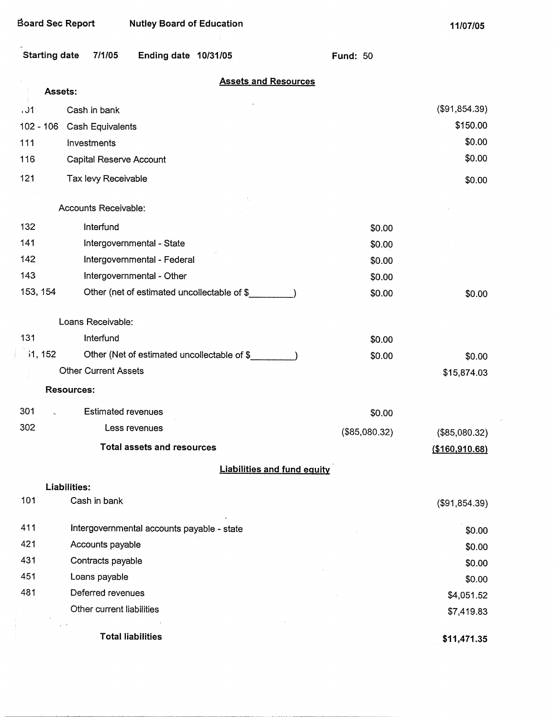#### Board Sec Report Nutley Board of Education

**11/07/05** 

 $\tilde{\mathcal{E}}$ 

|             | <b>Starting date</b><br>7/1/05<br>Ending date 10/31/05 | <b>Fund: 50</b> |                           |
|-------------|--------------------------------------------------------|-----------------|---------------------------|
|             | <b>Assets and Resources</b>                            |                 |                           |
|             | Assets:                                                |                 |                           |
| .31         | Cash in bank                                           |                 | (\$91,854.39)<br>\$150.00 |
| $102 - 106$ | Cash Equivalents                                       |                 |                           |
| 111         | Investments                                            |                 | \$0.00                    |
| 116         | Capital Reserve Account                                |                 | \$0.00                    |
| 121         | Tax levy Receivable                                    |                 | \$0.00                    |
|             | Accounts Receivable:                                   |                 |                           |
| 132         | Interfund                                              | \$0.00          |                           |
| 141         | Intergovernmental - State                              | \$0.00          |                           |
| 142         | Intergovernmental - Federal                            | \$0.00          |                           |
| 143         | Intergovernmental - Other                              | \$0.00          |                           |
| 153, 154    | Other (net of estimated uncollectable of \$            | \$0.00          | \$0.00                    |
|             |                                                        |                 |                           |
|             | Loans Receivable:                                      |                 |                           |
| 131         | Interfund                                              | \$0.00          |                           |
| 31, 152     | Other (Net of estimated uncollectable of \$_           | \$0.00          | \$0.00                    |
|             | <b>Other Current Assets</b>                            |                 | \$15,874.03               |
|             | <b>Resources:</b>                                      |                 |                           |
| 301         | <b>Estimated revenues</b>                              | \$0.00          |                           |
| 302         | Less revenues                                          | (\$85,080.32)   | (\$85,080.32)             |
|             | <b>Total assets and resources</b>                      |                 | (\$160,910.68)            |
|             | <b>Liabilities and fund equity</b>                     |                 |                           |
|             | Liabilities:                                           |                 |                           |
| 101         | Cash in bank                                           |                 | (\$91,854.39)             |
| 411         | Intergovernmental accounts payable - state             |                 | \$0.00                    |
| 421         | Accounts payable                                       |                 | \$0.00                    |
| 431         | Contracts payable                                      |                 | \$0.00                    |
| 451         | Loans payable                                          |                 | \$0.00                    |
| 481         | Deferred revenues                                      |                 | \$4,051.52                |
|             | Other current liabilities                              |                 | \$7,419.83                |
|             | <b>Total liabilities</b>                               |                 | \$11,471.35               |
|             |                                                        |                 |                           |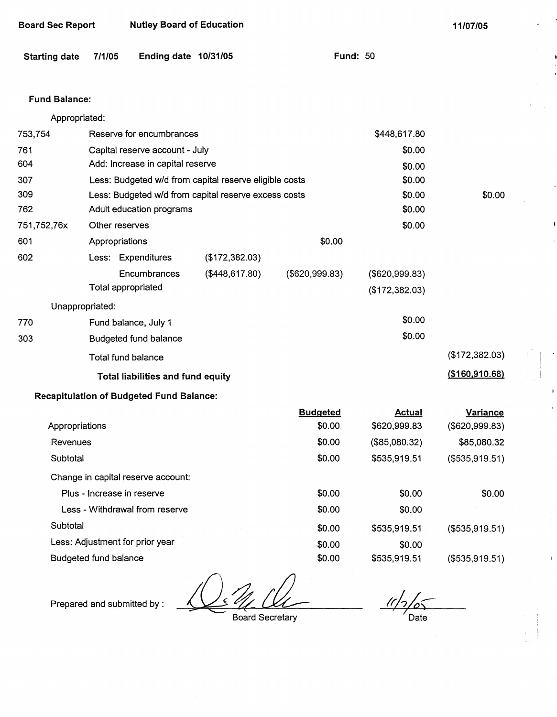| Board Sec Report | <b>Nutley Board of Education</b> |
|------------------|----------------------------------|
|------------------|----------------------------------|

**11/07/05** 

### **Fund Balance:**

Appropriated:

| 753,754        | Reserve for encumbrances     |                                                        |                                                      |                 | \$448,617.80   |                  |
|----------------|------------------------------|--------------------------------------------------------|------------------------------------------------------|-----------------|----------------|------------------|
| 761            |                              | Capital reserve account - July                         |                                                      |                 | \$0.00         |                  |
| 604            |                              | Add: Increase in capital reserve                       |                                                      | \$0.00          |                |                  |
| 307            |                              | Less: Budgeted w/d from capital reserve eligible costs |                                                      |                 | \$0.00         |                  |
| 309            |                              |                                                        | Less: Budgeted w/d from capital reserve excess costs |                 | \$0.00         | \$0.00           |
| 762            |                              | Adult education programs                               |                                                      |                 | \$0.00         |                  |
| 751,752,76x    |                              | Other reserves                                         |                                                      |                 | \$0.00         |                  |
| 601            |                              | Appropriations                                         |                                                      | \$0.00          |                |                  |
| 602            |                              | Less: Expenditures                                     | (\$172,382.03)                                       |                 |                |                  |
|                |                              | Encumbrances                                           | (\$448,617.80)                                       | (\$620,999.83)  | (\$620,999.83) |                  |
|                |                              | <b>Total appropriated</b>                              |                                                      |                 | (\$172,382.03) |                  |
|                | Unappropriated:              |                                                        |                                                      |                 |                |                  |
| 770            |                              | Fund balance, July 1                                   |                                                      |                 | \$0.00         |                  |
| 303            |                              | <b>Budgeted fund balance</b>                           |                                                      |                 | \$0.00         |                  |
|                |                              | <b>Total fund balance</b>                              |                                                      |                 |                | (\$172,382.03)   |
|                |                              | Total liabilities and fund equity                      |                                                      |                 |                | ( \$160, 910.68) |
|                |                              | <b>Recapitulation of Budgeted Fund Balance:</b>        |                                                      |                 |                |                  |
|                |                              |                                                        |                                                      | <b>Budgeted</b> | <b>Actual</b>  | Variance         |
| Appropriations |                              |                                                        |                                                      | \$0.00          | \$620,999.83   | (\$620,999.83)   |
| Revenues       |                              |                                                        |                                                      | \$0.00          | (\$85,080.32)  | \$85,080.32      |
| Subtotal       |                              |                                                        |                                                      | \$0.00          | \$535,919.51   | (\$535,919.51)   |
|                |                              | Change in capital reserve account:                     |                                                      |                 |                |                  |
|                |                              | Plus - Increase in reserve                             |                                                      | \$0.00          | \$0.00         | \$0.00           |
|                |                              | Less - Withdrawal from reserve                         |                                                      | \$0.00          | \$0.00         |                  |
| Subtotal       |                              |                                                        |                                                      | \$0.00          | \$535,919.51   | ( \$535, 919.51) |
|                |                              | Less: Adjustment for prior year                        |                                                      | \$0.00          | \$0.00         |                  |
|                | <b>Budgeted fund balance</b> |                                                        |                                                      | \$0.00          | \$535,919.51   | (\$535,919.51)   |

 $\mathcal{L}$ 

Prepared and submitted by :

Board Secretary

 $\frac{1}{\sqrt{2}}$ Date

 $\overline{1}$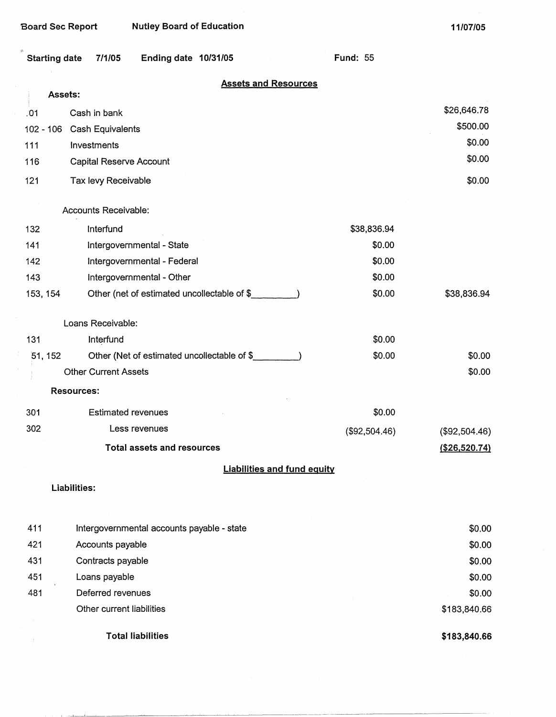$\theta$ 

| <b>Board Sec Report</b> | <b>Nutley Board of Education</b>            |                 | 11/07/05        |
|-------------------------|---------------------------------------------|-----------------|-----------------|
| <b>Starting date</b>    | 7/1/05<br>Ending date 10/31/05              | <b>Fund: 55</b> |                 |
|                         | <b>Assets and Resources</b>                 |                 |                 |
|                         | Assets:                                     |                 | \$26,646.78     |
| .01                     | Cash in bank                                |                 | \$500.00        |
| $102 - 106$<br>111      | Cash Equivalents<br>Investments             |                 | \$0.00          |
| 116                     | Capital Reserve Account                     |                 | \$0.00          |
| 121                     | Tax levy Receivable                         |                 | \$0.00          |
|                         | Accounts Receivable:                        |                 |                 |
| 132                     | Interfund                                   | \$38,836.94     |                 |
| 141                     | Intergovernmental - State                   | \$0.00          |                 |
| 142                     | Intergovernmental - Federal                 | \$0.00          |                 |
| 143                     | Intergovernmental - Other                   | \$0.00          |                 |
| 153, 154                | Other (net of estimated uncollectable of \$ | \$0.00          | \$38,836.94     |
|                         | Loans Receivable:                           |                 |                 |
| 131                     | Interfund                                   | \$0.00          |                 |
| 51, 152                 | Other (Net of estimated uncollectable of \$ | \$0.00          | \$0.00          |
|                         | <b>Other Current Assets</b>                 |                 | \$0.00          |
|                         | <b>Resources:</b>                           |                 |                 |
| 301                     | <b>Estimated revenues</b>                   | \$0.00          |                 |
| 302                     | Less revenues                               | (\$92,504.46)   | (\$92,504.46)   |
|                         | <b>Total assets and resources</b>           |                 | ( \$26, 520.74) |
|                         | <b>Liabilities and fund equity</b>          |                 |                 |
|                         | Liabilities:                                |                 |                 |
| 411                     | Intergovernmental accounts payable - state  |                 | \$0.00          |
| 421                     | Accounts payable                            |                 | \$0.00          |
| 431                     | Contracts payable                           |                 | \$0.00          |
| 451                     | Loans payable                               |                 | \$0.00          |
| 481                     | Deferred revenues                           |                 | \$0.00          |
|                         | Other current liabilities                   |                 | \$183,840.66    |
|                         |                                             |                 |                 |

Total liabilities

 $\hat{J}$ 

**\$183,840.66**